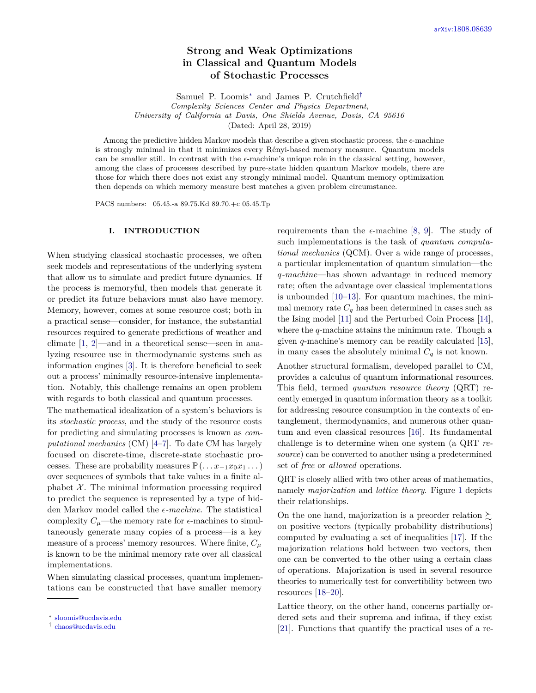# **Strong and Weak Optimizations in Classical and Quantum Models of Stochastic Processes**

Samuel P. Loomis[∗](#page-0-0) and James P. Crutchfield[†](#page-0-1)

*Complexity Sciences Center and Physics Department, University of California at Davis, One Shields Avenue, Davis, CA 95616*

(Dated: April 28, 2019)

Among the predictive hidden Markov models that describe a given stochastic process, the  $\epsilon$ -machine is strongly minimal in that it minimizes every Rényi-based memory measure. Quantum models can be smaller still. In contrast with the  $\epsilon$ -machine's unique role in the classical setting, however, among the class of processes described by pure-state hidden quantum Markov models, there are those for which there does not exist any strongly minimal model. Quantum memory optimization then depends on which memory measure best matches a given problem circumstance.

PACS numbers: 05.45.-a 89.75.Kd 89.70.+c 05.45.Tp

#### **I. INTRODUCTION**

When studying classical stochastic processes, we often seek models and representations of the underlying system that allow us to simulate and predict future dynamics. If the process is memoryful, then models that generate it or predict its future behaviors must also have memory. Memory, however, comes at some resource cost; both in a practical sense—consider, for instance, the substantial resources required to generate predictions of weather and climate [\[1,](#page-12-0) [2\]](#page-12-1)—and in a theoretical sense—seen in analyzing resource use in thermodynamic systems such as information engines [\[3\]](#page-12-2). It is therefore beneficial to seek out a process' minimally resource-intensive implementation. Notably, this challenge remains an open problem with regards to both classical and quantum processes.

The mathematical idealization of a system's behaviors is its *stochastic process*, and the study of the resource costs for predicting and simulating processes is known as *computational mechanics* (CM) [\[4](#page-12-3)[–7\]](#page-13-0). To date CM has largely focused on discrete-time, discrete-state stochastic processes. These are probability measures  $\mathbb{P}(\ldots x_{-1}x_0x_1\ldots)$ over sequences of symbols that take values in a finite alphabet  $X$ . The minimal information processing required to predict the sequence is represented by a type of hidden Markov model called the  $\epsilon$ -machine. The statistical complexity  $C_\mu$ —the memory rate for  $\epsilon$ -machines to simultaneously generate many copies of a process—is a key measure of a process' memory resources. Where finite,  $C_{\mu}$ is known to be the minimal memory rate over all classical implementations.

When simulating classical processes, quantum implementations can be constructed that have smaller memory

requirements than the  $\epsilon$ -machine [\[8,](#page-13-1) [9\]](#page-13-2). The study of such implementations is the task of *quantum computational mechanics* (QCM). Over a wide range of processes, a particular implementation of quantum simulation—the *q-machine*—has shown advantage in reduced memory rate; often the advantage over classical implementations is unbounded [\[10–](#page-13-3)[13\]](#page-13-4). For quantum machines, the minimal memory rate  $C_q$  has been determined in cases such as the Ising model [\[11\]](#page-13-5) and the Perturbed Coin Process [\[14\]](#page-13-6), where the *q*-machine attains the minimum rate. Though a given *q*-machine's memory can be readily calculated [\[15\]](#page-13-7), in many cases the absolutely minimal  $C_q$  is not known.

Another structural formalism, developed parallel to CM, provides a calculus of quantum informational resources. This field, termed *quantum resource theory* (QRT) recently emerged in quantum information theory as a toolkit for addressing resource consumption in the contexts of entanglement, thermodynamics, and numerous other quantum and even classical resources [\[16\]](#page-13-8). Its fundamental challenge is to determine when one system (a QRT *resource*) can be converted to another using a predetermined set of *free* or *allowed* operations.

QRT is closely allied with two other areas of mathematics, namely *majorization* and *lattice theory*. Figure [1](#page-1-0) depicts their relationships.

On the one hand, majorization is a preorder relation  $\succsim$ on positive vectors (typically probability distributions) computed by evaluating a set of inequalities [\[17\]](#page-13-9). If the majorization relations hold between two vectors, then one can be converted to the other using a certain class of operations. Majorization is used in several resource theories to numerically test for convertibility between two resources [\[18–](#page-13-10)[20\]](#page-13-11).

Lattice theory, on the other hand, concerns partially ordered sets and their suprema and infima, if they exist [\[21\]](#page-13-12). Functions that quantify the practical uses of a re-

<span id="page-0-0"></span><sup>∗</sup> [sloomis@ucdavis.edu](mailto:sloomis@ucdavis.edu)

<span id="page-0-1"></span><sup>†</sup> [chaos@ucdavis.edu](mailto:chaos@ucdavis.edu)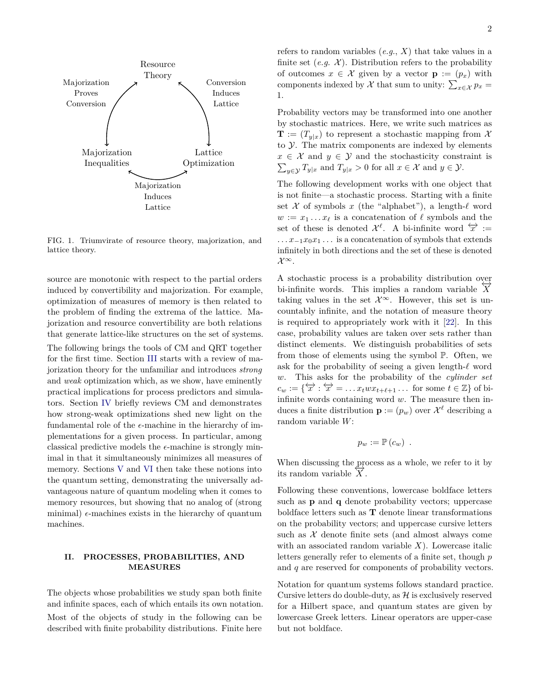

<span id="page-1-0"></span>FIG. 1. Triumvirate of resource theory, majorization, and lattice theory.

source are monotonic with respect to the partial orders induced by convertibility and majorization. For example, optimization of measures of memory is then related to the problem of finding the extrema of the lattice. Majorization and resource convertibility are both relations that generate lattice-like structures on the set of systems. The following brings the tools of CM and QRT together for the first time. Section [III](#page-2-0) starts with a review of majorization theory for the unfamiliar and introduces *strong* and *weak* optimization which, as we show, have eminently practical implications for process predictors and simulators. Section [IV](#page-4-0) briefly reviews CM and demonstrates how strong-weak optimizations shed new light on the fundamental role of the  $\epsilon$ -machine in the hierarchy of implementations for a given process. In particular, among classical predictive models the  $\epsilon$ -machine is strongly minimal in that it simultaneously minimizes all measures of memory. Sections [V](#page-7-0) and [VI](#page-9-0) then take these notions into the quantum setting, demonstrating the universally advantageous nature of quantum modeling when it comes to memory resources, but showing that no analog of (strong minimal)  $\epsilon$ -machines exists in the hierarchy of quantum machines.

### <span id="page-1-1"></span>**II. PROCESSES, PROBABILITIES, AND MEASURES**

The objects whose probabilities we study span both finite and infinite spaces, each of which entails its own notation. Most of the objects of study in the following can be described with finite probability distributions. Finite here

refers to random variables  $(e.g., X)$  that take values in a finite set  $(e.g. \mathcal{X})$ . Distribution refers to the probability of outcomes  $x \in \mathcal{X}$  given by a vector  $\mathbf{p} := (p_x)$  with components indexed by  $\mathcal X$  that sum to unity:  $\sum_{x \in \mathcal X} p_x =$ 1.

Probability vectors may be transformed into one another by stochastic matrices. Here, we write such matrices as  $\mathbf{T}$  :=  $(T_{y|x})$  to represent a stochastic mapping from X to Y. The matrix components are indexed by elements  $x \in \mathcal{X}$  and  $y \in \mathcal{Y}$  and the stochasticity constraint is  $\sum_{y \in \mathcal{Y}} T_{y|x}$  and  $T_{y|x} > 0$  for all  $x \in \mathcal{X}$  and  $y \in \mathcal{Y}$ .

The following development works with one object that is not finite—a stochastic process. Starting with a finite set  $X$  of symbols  $x$  (the "alphabet"), a length- $\ell$  word  $w := x_1 \dots x_\ell$  is a concatenation of  $\ell$  symbols and the set of these is denoted  $\mathcal{X}^{\ell}$ . A bi-infinite word  $\overleftrightarrow{x}$  := *. . . x*−1*x*0*x*<sup>1</sup> *. . .* is a concatenation of symbols that extends infinitely in both directions and the set of these is denoted  $\mathcal{X}^{\infty}.$ 

A stochastic process is a probability distribution over bi-infinite words. This implies a random variable  $\overline{X}$ taking values in the set  $\mathcal{X}^{\infty}$ . However, this set is uncountably infinite, and the notation of measure theory is required to appropriately work with it [\[22\]](#page-13-13). In this case, probability values are taken over sets rather than distinct elements. We distinguish probabilities of sets from those of elements using the symbol P. Often, we ask for the probability of seeing a given length- $\ell$  word *w*. This asks for the probability of the *cylinder set*  $c_w := \{ \overleftrightarrow{x} : \overleftrightarrow{x} = \dots x_t w x_{t+\ell+1} \dots \text{ for some } t \in \mathbb{Z} \}$  of biinfinite words containing word *w*. The measure then induces a finite distribution  $\mathbf{p} := (p_w)$  over  $\mathcal{X}^{\ell}$  describing a random variable *W*:

$$
p_w := \mathbb{P}(c_w) .
$$

When discussing the process as a whole, we refer to it by its random variable  $X$ .

Following these conventions, lowercase boldface letters such as **p** and **q** denote probability vectors; uppercase boldface letters such as **T** denote linear transformations on the probability vectors; and uppercase cursive letters such as  $X$  denote finite sets (and almost always come with an associated random variable *X*). Lowercase italic letters generally refer to elements of a finite set, though *p* and *q* are reserved for components of probability vectors.

Notation for quantum systems follows standard practice. Cursive letters do double-duty, as  $\mathcal H$  is exclusively reserved for a Hilbert space, and quantum states are given by lowercase Greek letters. Linear operators are upper-case but not boldface.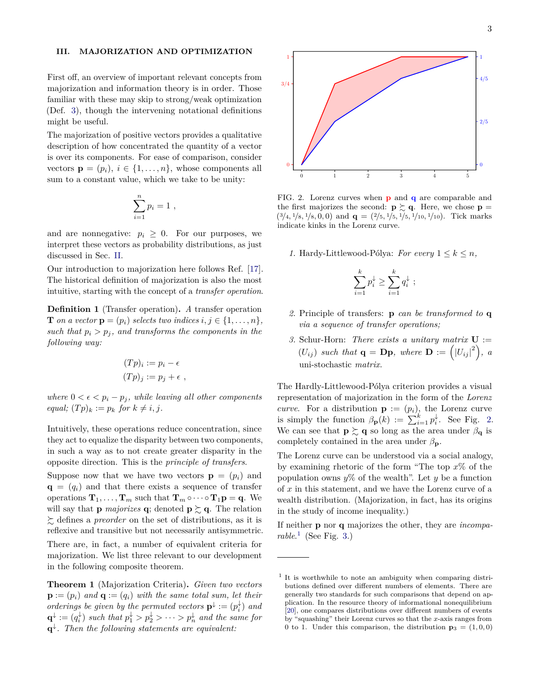#### <span id="page-2-0"></span>**III. MAJORIZATION AND OPTIMIZATION**

First off, an overview of important relevant concepts from majorization and information theory is in order. Those familiar with these may skip to strong/weak optimization (Def. [3\)](#page-3-0), though the intervening notational definitions might be useful.

The majorization of positive vectors provides a qualitative description of how concentrated the quantity of a vector is over its components. For ease of comparison, consider vectors  $\mathbf{p} = (p_i), i \in \{1, \ldots, n\}$ , whose components all sum to a constant value, which we take to be unity:

$$
\sum_{i=1}^n p_i = 1 ,
$$

and are nonnegative:  $p_i \geq 0$ . For our purposes, we interpret these vectors as probability distributions, as just discussed in Sec. [II.](#page-1-1)

Our introduction to majorization here follows Ref. [\[17\]](#page-13-9). The historical definition of majorization is also the most intuitive, starting with the concept of a *transfer operation*.

**Definition 1** (Transfer operation)**.** *A* transfer operation **T** *on a vector*  $\mathbf{p} = (p_i)$  *selects two indices*  $i, j \in \{1, \ldots, n\}$ *, such that*  $p_i > p_j$ *, and transforms the components in the following way:*

$$
(Tp)_i := p_i - \epsilon
$$
  

$$
(Tp)_j := p_j + \epsilon ,
$$

*where*  $0 < \epsilon < p_i - p_j$ *, while leaving all other components*  $equal; (Tp)_k := p_k$  *for*  $k \neq i, j$ .

Intuitively, these operations reduce concentration, since they act to equalize the disparity between two components, in such a way as to not create greater disparity in the opposite direction. This is the *principle of transfers*.

Suppose now that we have two vectors  $\mathbf{p} = (p_i)$  and  $\mathbf{q} = (q_i)$  and that there exists a sequence of transfer operations  $\mathbf{T}_1, \ldots, \mathbf{T}_m$  such that  $\mathbf{T}_m \circ \cdots \circ \mathbf{T}_1 \mathbf{p} = \mathbf{q}$ . We will say that **p** *majorizes* **q**; denoted **p**  $\succeq$  **q**. The relation  $\sum$  defines a *preorder* on the set of distributions, as it is reflexive and transitive but not necessarily antisymmetric.

There are, in fact, a number of equivalent criteria for majorization. We list three relevant to our development in the following composite theorem.

**Theorem 1** (Majorization Criteria)**.** *Given two vectors*  $\mathbf{p} := (p_i)$  and  $\mathbf{q} := (q_i)$  with the same total sum, let their *orderings be given by the permuted vectors*  $\mathbf{p}^{\downarrow} := (p_i^{\downarrow})$  *and*  $\mathbf{q}^{\downarrow} := (q_i^{\downarrow})$  *such that*  $p_1^{\downarrow} > p_2^{\downarrow} > \cdots > p_n^{\downarrow}$  *and the same for* **q** ↓ *. Then the following statements are equivalent:*



<span id="page-2-1"></span>FIG. 2. Lorenz curves when **p** and **q** are comparable and the first majorizes the second:  $\mathbf{p} \succsim \mathbf{q}$ . Here, we chose  $\mathbf{p} =$  $(3/4, \frac{1}{8}, \frac{1}{8}, 0, 0)$  and  $q = (\frac{2}{5}, \frac{1}{5}, \frac{1}{5}, \frac{1}{10}, \frac{1}{10})$ . Tick marks indicate kinks in the Lorenz curve.

1. Hardy-Littlewood-Pólya: *For every*  $1 \leq k \leq n$ *,* 

$$
\sum_{i=1}^k p_i^{\downarrow} \ge \sum_{i=1}^k q_i^{\downarrow} ;
$$

- *2.* Principle of transfers: **p** *can be transformed to* **q** *via a sequence of transfer operations;*
- *3.* Schur-Horn: *There exists a unitary matrix* **U** :=  $(U_{ij})$  such that  $q = Dp$ , where  $D := (|U_{ij}|^2)$ , a uni-stochastic *matrix.*

The Hardly-Littlewood-Pólya criterion provides a visual representation of majorization in the form of the *Lorenz curve.* For a distribution  $\mathbf{p} := (p_i)$ , the Lorenz curve is simply the function  $\beta_{\mathbf{p}}(k) := \sum_{i=1}^{k} p_i^{\downarrow}$ . See Fig. [2.](#page-2-1) We can see that  $\mathbf{p} \succeq \mathbf{q}$  so long as the area under  $\beta_{\mathbf{q}}$  is completely contained in the area under  $\beta_{\mathbf{p}}$ .

The Lorenz curve can be understood via a social analogy, by examining rhetoric of the form "The top *x*% of the population owns  $\psi$  of the wealth". Let  $\psi$  be a function of *x* in this statement, and we have the Lorenz curve of a wealth distribution. (Majorization, in fact, has its origins in the study of income inequality.)

If neither **p** nor **q** majorizes the other, they are *incomparable*. [1](#page-2-2) (See Fig. [3.](#page-3-1))

<span id="page-2-2"></span><sup>&</sup>lt;sup>1</sup> It is worthwhile to note an ambiguity when comparing distributions defined over different numbers of elements. There are generally two standards for such comparisons that depend on application. In the resource theory of informational nonequilibrium [\[20\]](#page-13-11), one compares distributions over different numbers of events by "squashing" their Lorenz curves so that the *x*-axis ranges from 0 to 1. Under this comparison, the distribution  $\mathbf{p}_3 = (1, 0, 0)$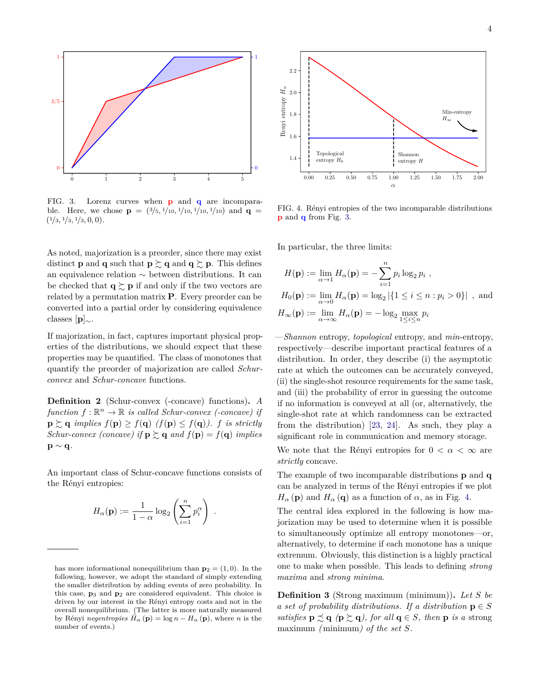

<span id="page-3-1"></span>FIG. 3. Lorenz curves when **p** and **q** are incomparable. Here, we chose  $\mathbf{p} = \left(\frac{3}{5}, \frac{1}{10}, \frac{1}{10}, \frac{1}{10}, \frac{1}{10}\right)$  and  $\mathbf{q} =$  $(1/3, 1/3, 1/3, 0, 0).$ 

As noted, majorization is a preorder, since there may exist distinct **p** and **q** such that **p**  $\succsim$  **q** and **q**  $\succsim$  **p**. This defines an equivalence relation ∼ between distributions. It can be checked that  $q \succeq p$  if and only if the two vectors are related by a permutation matrix **P**. Every preorder can be converted into a partial order by considering equivalence classes [**p**]∼.

If majorization, in fact, captures important physical properties of the distributions, we should expect that these properties may be quantified. The class of monotones that quantify the preorder of majorization are called *Schurconvex* and *Schur-concave* functions.

**Definition 2** (Schur-convex (-concave) functions)**.** *A*  $function f: \mathbb{R}^n \to \mathbb{R}$  *is called Schur-convex (-concave) if*  $\mathbf{p} \succeq \mathbf{q}$  *implies*  $f(\mathbf{p}) \geq f(\mathbf{q})$  ( $f(\mathbf{p}) \leq f(\mathbf{q})$ ). *f is strictly Schur-convex (concave)* if  $\mathbf{p} \succsim \mathbf{q}$  and  $f(\mathbf{p}) = f(\mathbf{q})$  implies **p** ∼ **q***.*

An important class of Schur-concave functions consists of the Rényi entropies:

$$
H_{\alpha}(\mathbf{p}) := \frac{1}{1-\alpha} \log_2 \left( \sum_{i=1}^n p_i^{\alpha} \right) .
$$



<span id="page-3-2"></span>FIG. 4. Rényi entropies of the two incomparable distributions **p** and **q** from Fig. [3.](#page-3-1)

In particular, the three limits:

$$
H(\mathbf{p}) := \lim_{\alpha \to 1} H_{\alpha}(\mathbf{p}) = -\sum_{i=1}^{n} p_i \log_2 p_i ,
$$
  
\n
$$
H_0(\mathbf{p}) := \lim_{\alpha \to 0} H_{\alpha}(\mathbf{p}) = \log_2 |\{1 \le i \le n : p_i > 0\}| ,
$$
 and  
\n
$$
H_{\infty}(\mathbf{p}) := \lim_{\alpha \to \infty} H_{\alpha}(\mathbf{p}) = -\log_2 \max_{1 \le i \le n} p_i
$$

—*Shannon* entropy, *topological* entropy, and *min*-entropy, respectively—describe important practical features of a distribution. In order, they describe (i) the asymptotic rate at which the outcomes can be accurately conveyed, (ii) the single-shot resource requirements for the same task, and (iii) the probability of error in guessing the outcome if no information is conveyed at all (or, alternatively, the single-shot rate at which randomness can be extracted from the distribution) [\[23,](#page-13-14) [24\]](#page-13-15). As such, they play a significant role in communication and memory storage.

We note that the Rényi entropies for  $0 < \alpha < \infty$  are *strictly* concave.

The example of two incomparable distributions **p** and **q** can be analyzed in terms of the Rényi entropies if we plot  $H_{\alpha}$  (**p**) and  $H_{\alpha}$  (**q**) as a function of  $\alpha$ , as in Fig. [4.](#page-3-2)

The central idea explored in the following is how majorization may be used to determine when it is possible to simultaneously optimize all entropy monotones—or, alternatively, to determine if each monotone has a unique extremum. Obviously, this distinction is a highly practical one to make when possible. This leads to defining *strong maxima* and *strong minima*.

<span id="page-3-0"></span>**Definition 3** (Strong maximum (minimum))**.** *Let S be a set of probability distributions. If a distribution*  $p \in S$ *satisfies*  $\mathbf{p} \preceq \mathbf{q}$  ( $\mathbf{p} \succeq \mathbf{q}$ ), for all  $\mathbf{q} \in S$ , then  $\mathbf{p}$  *is a* strong maximum *(*minimum*) of the set S.*

has more informational nonequilibrium than  $p_2 = (1, 0)$ . In the following, however, we adopt the standard of simply extending the smaller distribution by adding events of zero probability. In this case, **p**<sup>3</sup> and **p**<sup>2</sup> are considered equivalent. This choice is driven by our interest in the Rényi entropy costs and not in the overall nonequilibrium. (The latter is more naturally measured by Rényi *negentropies*  $H_{\alpha}(\mathbf{p}) = \log n - H_{\alpha}(\mathbf{p})$ , where *n* is the number of events.)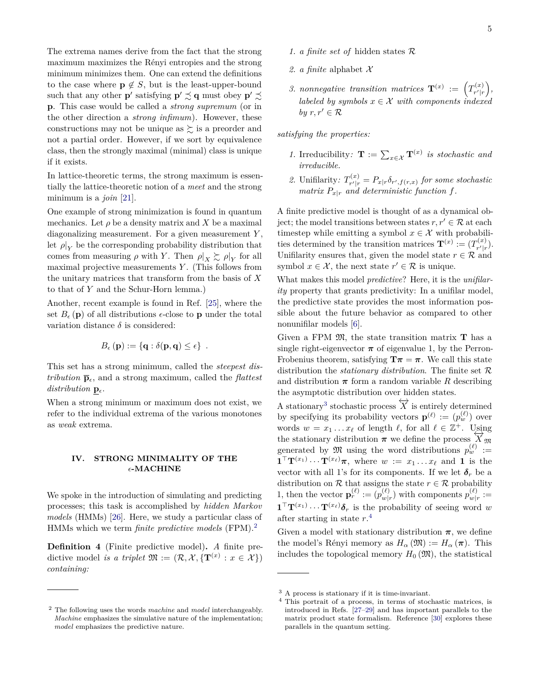The extrema names derive from the fact that the strong maximum maximizes the Rényi entropies and the strong minimum minimizes them. One can extend the definitions to the case where  $p \notin S$ , but is the least-upper-bound such that any other **p**' satisfying  $\mathbf{p}' \precsim \mathbf{q}$  must obey  $\mathbf{p}' \precsim$ **p**. This case would be called a *strong supremum* (or in the other direction a *strong infimum*). However, these constructions may not be unique as  $\succeq$  is a preorder and not a partial order. However, if we sort by equivalence class, then the strongly maximal (minimal) class is unique if it exists.

In lattice-theoretic terms, the strong maximum is essentially the lattice-theoretic notion of a *meet* and the strong minimum is a *join* [\[21\]](#page-13-12).

One example of strong minimization is found in quantum mechanics. Let  $\rho$  be a density matrix and X be a maximal diagonalizing measurement. For a given measurement *Y* , let  $\rho|_Y$  be the corresponding probability distribution that comes from measuring  $\rho$  with *Y*. Then  $\rho|_X \gtrsim \rho|_Y$  for all maximal projective measurements *Y* . (This follows from the unitary matrices that transform from the basis of *X* to that of *Y* and the Schur-Horn lemma.)

Another, recent example is found in Ref. [\[25\]](#page-13-16), where the set  $B_{\epsilon}(\mathbf{p})$  of all distributions  $\epsilon$ -close to **p** under the total variation distance  $\delta$  is considered:

$$
B_{\epsilon}(\mathbf{p}) := \{ \mathbf{q} : \delta(\mathbf{p}, \mathbf{q}) \leq \epsilon \} .
$$

This set has a strong minimum, called the *steepest distribution*  $\bar{p}_{\epsilon}$ , and a strong maximum, called the *flattest distribution*  $\mathbf{p}_{\epsilon}$ .

When a strong minimum or maximum does not exist, we refer to the individual extrema of the various monotones as *weak* extrema.

#### <span id="page-4-0"></span>**IV. STRONG MINIMALITY OF THE -MACHINE**

We spoke in the introduction of simulating and predicting processes; this task is accomplished by *hidden Markov models* (HMMs) [\[26\]](#page-13-17). Here, we study a particular class of HMMs which we term *finite predictive models* (FPM).[2](#page-4-1)

**Definition 4** (Finite predictive model)**.** *A* finite predictive model *is a triplet*  $\mathfrak{M} := (\mathcal{R}, \mathcal{X}, \{ \mathbf{T}^{(x)} : x \in \mathcal{X} \})$ *containing:*

- 2. *a finite* alphabet  $\mathcal{X}$
- 3. *nonnegative transition matrices*  $\mathbf{T}^{(x)} := \left(T_{r'|r}^{(x)}\right)$  $\binom{x}{r'|r},$ *labeled by symbols*  $x \in \mathcal{X}$  *with components indexed by*  $r, r' \in \mathcal{R}$

*satisfying the properties:*

- *1.* Irreducibility:  $\mathbf{T} := \sum_{x \in \mathcal{X}} \mathbf{T}^{(x)}$  is stochastic and *irreducible.*
- 2. Unifilarity:  $T^{(x)}_{r'|r}$  $P_{r'|r}^{(x)} = P_{x|r} \delta_{r',f(r,x)}$  for some stochastic *matrix*  $P_{x|r}$  *and deterministic function f.*

A finite predictive model is thought of as a dynamical object; the model transitions between states  $r, r' \in \mathcal{R}$  at each timestep while emitting a symbol  $x \in \mathcal{X}$  with probabilities determined by the transition matrices  $\mathbf{T}^{(x)} := (T_{r'|r}^{(x)})$  $\binom{x}{r'|r}$ . Unifilarity ensures that, given the model state  $r \in \mathcal{R}$  and symbol  $x \in \mathcal{X}$ , the next state  $r' \in \mathcal{R}$  is unique.

What makes this model *predictive*? Here, it is the *unifilarity* property that grants predictivity: In a unifilar model, the predictive state provides the most information possible about the future behavior as compared to other nonunifilar models [\[6\]](#page-12-4).

Given a FPM  $\mathfrak{M}$ , the state transition matrix **T** has a single right-eigenvector  $\pi$  of eigenvalue 1, by the Perron-Frobenius theorem, satisfying  $\mathbf{T}\pi = \pi$ . We call this state distribution the *stationary distribution*. The finite set R and distribution  $\pi$  form a random variable *R* describing the asymptotic distribution over hidden states.

A stationary<sup>[3](#page-4-2)</sup> stochastic process  $\overleftrightarrow{X}$  is entirely determined by specifying its probability vectors  $\mathbf{p}^{(\ell)} := (p_w^{(\ell)})$  over words  $w = x_1 \dots x_\ell$  of length  $\ell$ , for all  $\ell \in \mathbb{Z}^+$ . Using the stationary distribution  $\pi$  we define the process  $\overline{X}_{\mathfrak{M}}$ generated by  $\mathfrak{M}$  using the word distributions  $p_w^{(\ell)} :=$  $\mathbf{1}^\top \mathbf{T}^{(x_1)} \cdots \mathbf{T}^{(x_\ell)} \boldsymbol{\pi}$ , where  $w := x_1 \cdots x_\ell$  and 1 is the vector with all 1's for its components. If we let  $\delta_r$  be a distribution on  $R$  that assigns the state  $r \in R$  probability 1, then the vector  $\mathbf{p}_r^{(\ell)} := (p_{m}^{(\ell)})^T$  $w(r)$  with components  $p_{w|i}^{(\ell)}$  $\binom{v}{w|r} :=$  $\mathbf{1}^\top \mathbf{T}^{(x_1)} \cdots \mathbf{T}^{(x_\ell)} \boldsymbol{\delta}_r$  is the probability of seeing word *w* after starting in state *r*. [4](#page-4-3)

Given a model with stationary distribution  $\pi$ , we define the model's Rényi memory as  $H_{\alpha}(\mathfrak{M}) := H_{\alpha}(\pi)$ . This includes the topological memory  $H_0(\mathfrak{M})$ , the statistical

<span id="page-4-1"></span><sup>2</sup> The following uses the words *machine* and *model* interchangeably. *Machine* emphasizes the simulative nature of the implementation; *model* emphasizes the predictive nature.

<span id="page-4-2"></span><sup>3</sup> A process is stationary if it is time-invariant.

<span id="page-4-3"></span><sup>4</sup> This portrait of a process, in terms of stochastic matrices, is introduced in Refs. [\[27](#page-13-18)[–29\]](#page-13-19) and has important parallels to the matrix product state formalism. Reference [\[30\]](#page-13-20) explores these parallels in the quantum setting.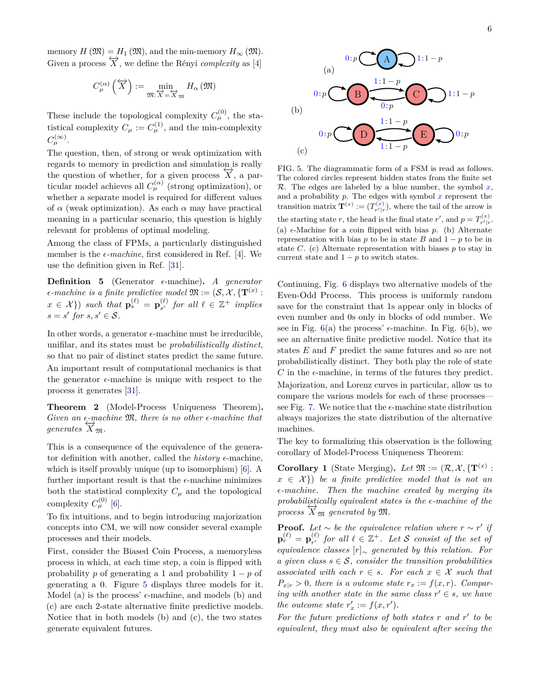memory  $H(\mathfrak{M}) = H_1(\mathfrak{M})$ , and the min-memory  $H_{\infty}(\mathfrak{M})$ . Given a process  $\overleftrightarrow{X}$ , we define the Rényi *complexity* as [\[4\]](#page-12-3)

$$
C_{\mu}^{(\alpha)}\left(\overleftrightarrow{X}\right):=\min_{\mathfrak{M}:\overleftrightarrow{X}=\overleftrightarrow{X}_{\mathfrak{M}}}H_{\alpha}\left(\mathfrak{M}\right)
$$

These include the topological complexity  $C^{(0)}_{\mu}$ , the statistical complexity  $C_{\mu} := C_{\mu}^{(1)}$ , and the min-complexity  $C^{(\infty)}_{\mu}$ .

The question, then, of strong or weak optimization with regards to memory in prediction and simulation is really the question of whether, for a given process  $\overline{X}$ , a particular model achieves all  $C_{\mu}^{(\alpha)}$  (strong optimization), or whether a separate model is required for different values of *α* (weak optimization). As each *α* may have practical meaning in a particular scenario, this question is highly relevant for problems of optimal modeling.

Among the class of FPMs, a particularly distinguished member is the  $\epsilon$ -machine, first considered in Ref. [\[4\]](#page-12-3). We use the definition given in Ref. [\[31\]](#page-13-21).

**Definition 5** (Generator  $\epsilon$ -machine). *A generator*  $\epsilon$ -machine is a finite predictive model  $\mathfrak{M} := (\mathcal{S}, \mathcal{X}, \{ \mathbf{T}^{(x)} :$  $\{x \in \mathcal{X}\}\}\) \text{ such that } \mathbf{p}_s^{(\ell)} = \mathbf{p}_{s'}^{(\ell)}$  $s'$  *for all*  $\ell \in \mathbb{Z}^+$  *implies*  $s = s'$  for  $s, s' \in S$ .

In other words, a generator  $\epsilon$ -machine must be irreducible, unifilar, and its states must be *probabilistically distinct*, so that no pair of distinct states predict the same future. An important result of computational mechanics is that the generator  $\epsilon$ -machine is unique with respect to the process it generates [\[31\]](#page-13-21).

**Theorem 2** (Model-Process Uniqueness Theorem)**.** *Given an*  $\epsilon$ -machine  $\mathfrak{M}$ , there is no other  $\epsilon$ -machine that  $generates \overleftrightarrow{X}_{\mathfrak{M}}$ .

This is a consequence of the equivalence of the generator definition with another, called the *history*  $\epsilon$ -machine, which is itself provably unique (up to isomorphism) [\[6\]](#page-12-4). A further important result is that the  $\epsilon$ -machine minimizes both the statistical complexity  $C_\mu$  and the topological complexity  $C_{\mu}^{(0)}$  [\[6\]](#page-12-4).

To fix intuitions, and to begin introducing majorization concepts into CM, we will now consider several example processes and their models.

First, consider the Biased Coin Process, a memoryless process in which, at each time step, a coin is flipped with probability *p* of generating a 1 and probability  $1 - p$  of generating a 0. Figure [5](#page-5-0) displays three models for it. Model (a) is the process'  $\epsilon$ -machine, and models (b) and (c) are each 2-state alternative finite predictive models. Notice that in both models (b) and (c), the two states generate equivalent futures.



<span id="page-5-0"></span>FIG. 5. The diagrammatic form of a FSM is read as follows. The colored circles represent hidden states from the finite set  $\mathcal{R}$ . The edges are labeled by a blue number, the symbol  $x$ , and a probability *p*. The edges with symbol *x* represent the transition matrix  $\mathbf{T}^{(x)} := (T^{(x)}_{r'|r}),$  where the tail of the arrow is the starting state *r*, the head is the final state *r'*, and  $p = T_{r'|r}^{(x)}$ . (a)  $\epsilon$ -Machine for a coin flipped with bias  $p$ . (b) Alternate representation with bias  $p$  to be in state  $B$  and  $1 - p$  to be in state *C*. (c) Alternate representation with biases *p* to stay in current state and  $1 - p$  to switch states.

Continuing, Fig. [6](#page-6-0) displays two alternative models of the Even-Odd Process. This process is uniformly random save for the constraint that 1s appear only in blocks of even number and 0s only in blocks of odd number. We see in Fig.  $6(a)$  $6(a)$  the process'  $\epsilon$ -machine. In Fig.  $6(b)$ , we see an alternative finite predictive model. Notice that its states *E* and *F* predict the same futures and so are not probabilistically distinct. They both play the role of state  $C$  in the  $\epsilon$ -machine, in terms of the futures they predict. Majorization, and Lorenz curves in particular, allow us to compare the various models for each of these processes— see Fig. [7.](#page-6-1) We notice that the  $\epsilon$ -machine state distribution always majorizes the state distribution of the alternative machines.

The key to formalizing this observation is the following corollary of Model-Process Uniqueness Theorem:

<span id="page-5-1"></span>**Corollary 1** (State Merging). Let  $\mathfrak{M} := (\mathcal{R}, \mathcal{X}, \{ \mathbf{T}^{(x)} :$  $x \in \mathcal{X}$ ) *be a finite predictive model that is not an -machine. Then the machine created by merging its probabilistically equivalent states is the*  $\epsilon$ -machine of the  $\overleftrightarrow{X}_{\mathfrak{M}}$  generated by  $\mathfrak{M}$ .

**Proof.** Let  $\sim$  be the equivalence relation where  $r \sim r'$  if  $\mathbf{p}_r^{(\ell)} = \mathbf{p}_{r'}^{(\ell)}$  $\mathcal{C}^{(\ell)}_{r'}$  *for all*  $\ell \in \mathbb{Z}^+$ *. Let* S *consist of the set of equivalence classes* [*r*]<sup>∼</sup> *generated by this relation. For a given class*  $s \in \mathcal{S}$ , consider the transition probabilities *associated with each*  $r \in s$ *. For each*  $x \in \mathcal{X}$  *such that*  $P_{x|r} > 0$ , there is a outcome state  $r_x := f(x, r)$ . Compar*ing with another state in the same class*  $r' \in s$ *, we have the outcome state*  $r'_x := f(x, r')$ *.* 

For the future predictions of both states *r* and *r'* to be *equivalent, they must also be equivalent after seeing the*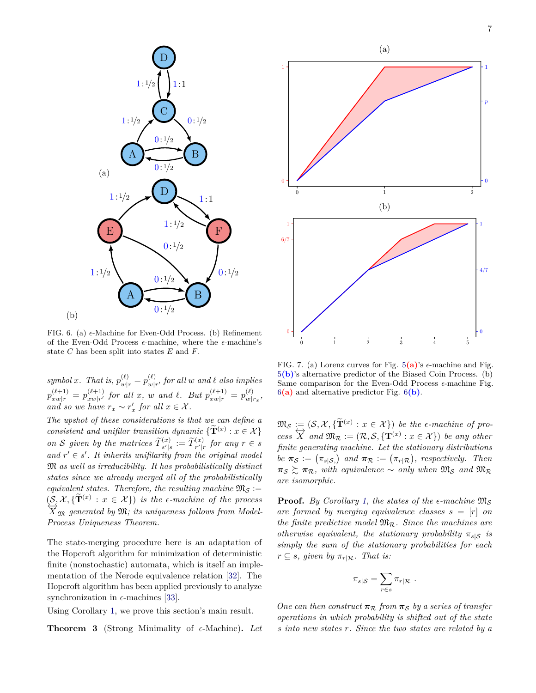

<span id="page-6-0"></span>FIG. 6. (a)  $\epsilon$ -Machine for Even-Odd Process. (b) Refinement of the Even-Odd Process  $\epsilon$ -machine, where the  $\epsilon$ -machine's state *C* has been split into states *E* and *F*.

(b)

 $symbolx$ *. That is,*  $p_{w|r}^{(\ell)} = p_{w|r}^{(\ell)}$  $\int_{\mathcal{W}|r'}^{(t)}$  *for all w and*  $\ell$  *also implies*  $p_{xw|r}^{(\ell+1)} = p_{xw|r'}^{(\ell+1)}$  $\int_{xw|r'}^{(\ell+1)}$  *for all x*, *w and*  $\ell$ *. But*  $p_{xw|r}^{(\ell+1)} = p_{w|r}^{(\ell)}$  $\frac{(\ell)}{w|r_x},$ *and so we have*  $r_x \sim r'_x$  *for all*  $x \in \mathcal{X}$ *.* 

*The upshot of these considerations is that we can define a consistent and unifilar transition dynamic*  $\{ \widetilde{T}^{(x)} : x \in \mathcal{X} \}$ *on S* given by the matrices  $\widetilde{T}_{s'|s}^{(x)} := \widetilde{T}_{r'|r}^{(x)}$  for any  $r \in s$ and  $r' \in s'$ . It inherits unifilarity from the original model M *as well as irreducibility. It has probabilistically distinct states since we already merged all of the probabilistically equivalent states. Therefore, the resulting machine*  $\mathfrak{M}_{\mathcal{S}}$  :=  $(S, \mathcal{X}, {\{\mathbf{\tilde{T}}}^{(x)} : x \in \mathcal{X}})$  *is the e-machine of the process*  $\overline{X}_{\mathfrak{M}}$  generated by  $\mathfrak{M}$ ; its uniqueness follows from Model-*Process Uniqueness Theorem.*

The state-merging procedure here is an adaptation of the Hopcroft algorithm for minimization of deterministic finite (nonstochastic) automata, which is itself an implementation of the Nerode equivalence relation [\[32\]](#page-13-22). The Hopcroft algorithm has been applied previously to analyze synchronization in  $\epsilon$ -machines [\[33\]](#page-13-23).

Using Corollary [1,](#page-5-1) we prove this section's main result.

**Theorem 3** (Strong Minimality of  $\epsilon$ -Machine). Let



<span id="page-6-1"></span>FIG. 7. (a) Lorenz curves for Fig.  $5(a)$  $5(a)$ 's  $\epsilon$ -machine and Fig. [5](#page-5-0)**(b)**'s alternative predictor of the Biased Coin Process. (b) Same comparison for the Even-Odd Process  $\epsilon$ -machine Fig. [6](#page-6-0)**(a)** and alternative predictor Fig. [6](#page-6-0)**(b)**.

 $\mathfrak{M}_{\mathcal{S}} := (\mathcal{S}, \mathcal{X}, \{\mathbf{\tilde{T}}^{(x)} : x \in \mathcal{X}\})$  *be the*  $\epsilon$ *-machine of pro-* $\overleftrightarrow{X}$  *and*  $\overrightarrow{M}_{\mathcal{R}} := (\mathcal{R}, \mathcal{S}, {\{\mathbf{T}^{(x)} : x \in \mathcal{X}\}})$  *be any other finite generating machine. Let the stationary distributions be*  $\pi_{\mathcal{S}} := (\pi_{s|\mathcal{S}_s})$  and  $\pi_{\mathcal{R}} := (\pi_{r|\mathcal{R}})$ , respectively. Then  $\pi_{\mathcal{S}} \succeq \pi_{\mathcal{R}}$ , with equivalence  $\sim$  only when  $\mathfrak{M}_{\mathcal{S}}$  and  $\mathfrak{M}_{\mathcal{R}}$ *are isomorphic.*

**Proof.** *By Corollary [1,](#page-5-1) the states of the*  $\epsilon$ *-machine*  $\mathfrak{M}_{\mathcal{S}}$ *are formed by merging equivalence classes*  $s = [r]$  *on the finite predictive model*  $\mathfrak{M}_{\mathcal{R}}$ *. Since the machines are otherwise equivalent, the stationary probability*  $\pi_{s|S}$  *is simply the sum of the stationary probabilities for each*  $r \subseteq s$ *, given by*  $\pi_{r} \mid \mathcal{R}$ *. That is:* 

$$
\pi_{s|S} = \sum_{r \in s} \pi_{r|\mathcal{R}} \ .
$$

*One can then construct*  $\pi_R$  *from*  $\pi_S$  *by a series of transfer operations in which probability is shifted out of the state s into new states r. Since the two states are related by a*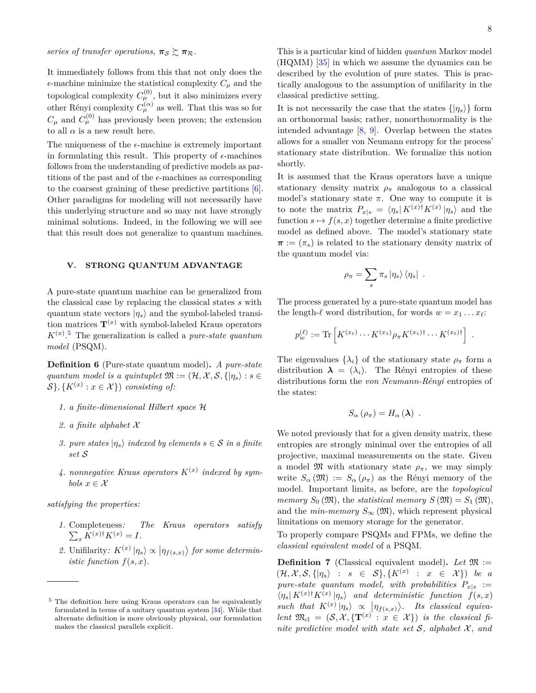*series of transfer operations,*  $\pi_{\mathcal{S}} \gtrsim \pi_{\mathcal{R}}$ .

It immediately follows from this that not only does the  $\epsilon$ -machine minimize the statistical complexity  $C_\mu$  and the topological complexity  $C^{(0)}_{\mu}$ , but it also minimizes every other Rényi complexity  $C_{\mu}^{(\alpha)}$  as well. That this was so for  $C_{\mu}$  and  $C_{\mu}^{(0)}$  has previously been proven; the extension to all  $\alpha$  is a new result here.

The uniqueness of the  $\epsilon$ -machine is extremely important in formulating this result. This property of  $\epsilon$ -machines follows from the understanding of predictive models as partitions of the past and of the  $\epsilon$ -machines as corresponding to the coarsest graining of these predictive partitions [\[6\]](#page-12-4). Other paradigms for modeling will not necessarily have this underlying structure and so may not have strongly minimal solutions. Indeed, in the following we will see that this result does not generalize to quantum machines.

#### <span id="page-7-0"></span>**V. STRONG QUANTUM ADVANTAGE**

A pure-state quantum machine can be generalized from the classical case by replacing the classical states *s* with quantum state vectors  $|\eta_s\rangle$  and the symbol-labeled transition matrices  $\mathbf{T}^{(x)}$  with symbol-labeled Kraus operators  $K^{(x)}$ <sup>[5](#page-7-1)</sup> The generalization is called a *pure-state quantum model* (PSQM).

**Definition 6** (Pure-state quantum model)**.** *A pure-state quantum model is a quintuplet*  $\mathfrak{M} := (\mathcal{H}, \mathcal{X}, \mathcal{S}, \{ | \eta_s \} : s \in$  $\mathcal{S}\}, \{K^{(x)} : x \in \mathcal{X}\}\)$  *consisting of:* 

- *1. a finite-dimensional Hilbert space* H
- *2. a finite alphabet* X
- *3. pure states*  $| \eta_s \rangle$  *indexed by elements*  $s \in S$  *in a finite set* S
- 4. *nonnegative Kraus operators*  $K^{(x)}$  *indexed by symbols*  $x \in \mathcal{X}$

*satisfying the properties:*

- *1.* Completeness *: The Kraus operators satisfy*  $\sum_{x} K^{(x)\dagger} K^{(x)} = I.$
- 2. Unifilarity:  $K^{(x)} | \eta_s \rangle \propto | \eta_{f(s,x)} \rangle$  for some determin*istic function*  $f(s, x)$ *.*

This is a particular kind of hidden *quantum* Markov model (HQMM) [\[35\]](#page-13-25) in which we assume the dynamics can be described by the evolution of pure states. This is practically analogous to the assumption of unifilarity in the classical predictive setting.

It is not necessarily the case that the states  $\{|\eta_s\rangle\}$  form an orthonormal basis; rather, nonorthonormality is the intended advantage [\[8,](#page-13-1) [9\]](#page-13-2). Overlap between the states allows for a smaller von Neumann entropy for the process' stationary state distribution. We formalize this notion shortly.

It is assumed that the Kraus operators have a unique stationary density matrix  $\rho_{\pi}$  analogous to a classical model's stationary state  $\pi$ . One way to compute it is to note the matrix  $P_{x|s} = \langle \eta_s | K^{(x)\dagger} K^{(x)} | \eta_s \rangle$  and the function  $s \mapsto f(s, x)$  together determine a finite predictive model as defined above. The model's stationary state  $\pi := (\pi_s)$  is related to the stationary density matrix of the quantum model via:

$$
\rho_{\pi} = \sum_{s} \pi_{s} |\eta_{s}\rangle \langle \eta_{s}|.
$$

The process generated by a pure-state quantum model has the length- $\ell$  word distribution, for words  $w = x_1 \dots x_\ell$ :

$$
p_w^{(\ell)} := \text{Tr}\left[K^{(x_\ell)} \cdots K^{(x_1)} \rho_\pi K^{(x_1)\dagger} \cdots K^{(x_\ell)\dagger}\right] \ .
$$

The eigenvalues  $\{\lambda_i\}$  of the stationary state  $\rho_\pi$  form a distribution  $\lambda = (\lambda_i)$ . The Rényi entropies of these distributions form the *von Neumann-Rényi* entropies of the states:

$$
S_{\alpha}(\rho_{\pi})=H_{\alpha}(\lambda) .
$$

We noted previously that for a given density matrix, these entropies are strongly minimal over the entropies of all projective, maximal measurements on the state. Given a model  $\mathfrak{M}$  with stationary state  $\rho_{\pi}$ , we may simply write  $S_\alpha(\mathfrak{M}) := S_\alpha(\rho_\pi)$  as the Rényi memory of the model. Important limits, as before, are the *topological memory*  $S_0(\mathfrak{M})$ , the *statistical memory*  $S(\mathfrak{M}) = S_1(\mathfrak{M})$ , and the *min-memory*  $S_{\infty}(\mathfrak{M})$ , which represent physical limitations on memory storage for the generator.

To properly compare PSQMs and FPMs, we define the *classical equivalent model* of a PSQM.

**Definition 7** (Classical equivalent model). Let  $\mathfrak{M}$  :=  $(\mathcal{H}, \mathcal{X}, \mathcal{S}, \{ | \eta_s \} : s \in \mathcal{S} \}, \{ K^{(x)} : x \in \mathcal{X} \})$  be a *pure-state quantum model, with probabilities*  $P_{x|s}$  :=  $\langle \eta_s | K^{(x)} | K^{(x)} | \eta_s \rangle$  and deterministic function  $f(s, x)$  $\sup_{s \to s} \int_{\mathbb{R}^n} |f(s,x)|^2 \, ds = \lim_{s \to s} \int_{\mathbb{R}^n} \int_{\mathbb{R}^n} |f(s,x)|^2 \, ds$  *. Its classical equivalent*  $\mathfrak{M}_{\text{cl}} = (\mathcal{S}, \mathcal{X}, \{ \mathbf{T}^{(x)} : x \in \mathcal{X} \})$  *is the classical finite predictive model with state set*  $S$ *, alphabet*  $X$ *, and* 

<span id="page-7-1"></span><sup>5</sup> The definition here using Kraus operators can be equivalently formulated in terms of a unitary quantum system [\[34\]](#page-13-24). While that alternate definition is more obviously physical, our formulation makes the classical parallels explicit.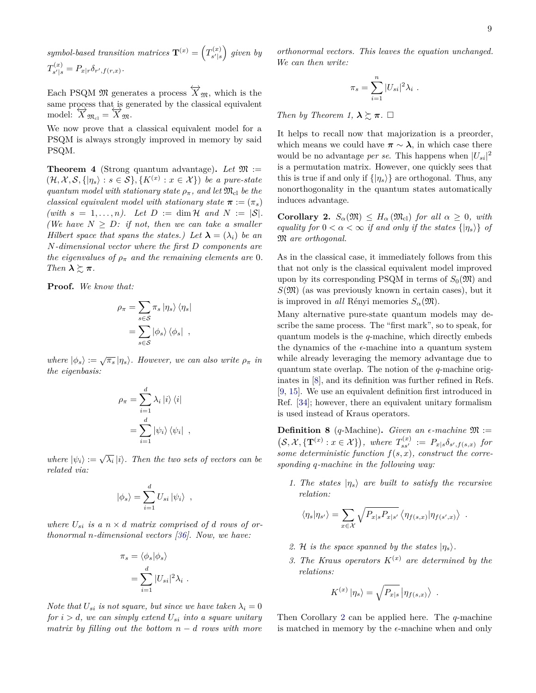symbol-based transition matrices  $\mathbf{T}^{(x)} = \left(T_{s'|s}^{(x)}\right)$  $\binom{f(x)}{s'|s}$  given by  $T_{\mathbf{s}^{\prime} \perp \mathbf{s}}^{(x)}$  $P_{s'|s}^{(x)} = P_{x|r} \delta_{r',f(r,x)}.$ 

Each PSQM  $\mathfrak{M}$  generates a process  $\overleftrightarrow{X}_{\mathfrak{M}}$ , which is the same process that is generated by the classical equivalent  $\text{model: } \overleftrightarrow{X}_{\mathfrak{M}_{\text{cl}}} = \overleftrightarrow{X}_{\mathfrak{M}}.$ 

We now prove that a classical equivalent model for a PSQM is always strongly improved in memory by said PSQM.

<span id="page-8-1"></span>**Theorem 4** (Strong quantum advantage). Let  $\mathfrak{M}$  :=  $(\mathcal{H}, \mathcal{X}, \mathcal{S}, \{|\eta_s\rangle : s \in \mathcal{S}\}, \{K^{(x)}: x \in \mathcal{X}\})$  be a pure-state *quantum model with stationary state*  $\rho_{\pi}$ *, and let*  $\mathfrak{M}_{\text{cl}}$  *be the classical equivalent model with stationary state*  $\pi := (\pi_s)$ *(with*  $s = 1, \ldots, n$ *).* Let  $D := \dim \mathcal{H}$  and  $N := |\mathcal{S}|$ . *(We have*  $N \geq D$ *: if not, then we can take a smaller Hilbert space that spans the states.) Let*  $\lambda = (\lambda_i)$  *be an N-dimensional vector where the first D components are the eigenvalues of*  $\rho_{\pi}$  *and the remaining elements are* 0*. Then*  $\lambda \gtrsim \pi$ .

**Proof.** *We know that:*

$$
\rho_{\pi} = \sum_{s \in S} \pi_s \ket{\eta_s} \bra{\eta_s}
$$

$$
= \sum_{s \in S} \ket{\phi_s} \bra{\phi_s},
$$

*where*  $|\phi_s\rangle := \sqrt{\pi_s} | \eta_s \rangle$ . However, we can also write  $\rho_{\pi}$  in *the eigenbasis:*

$$
\rho_{\pi} = \sum_{i=1}^{d} \lambda_{i} |i\rangle \langle i|
$$

$$
= \sum_{i=1}^{d} |\psi_{i}\rangle \langle \psi_{i}|,
$$

*where*  $|\psi_i\rangle := \sqrt{\lambda_i} |i\rangle$ . *Then the two sets of vectors can be related via:*

$$
|\phi_s\rangle = \sum_{i=1}^d U_{si} | \psi_i \rangle ,
$$

*where*  $U_{si}$  *is a*  $n \times d$  *matrix comprised of d rows of orthonormal n-dimensional vectors [\[36\]](#page-13-26). Now, we have:*

$$
\pi_s = \langle \phi_s | \phi_s \rangle
$$

$$
= \sum_{i=1}^d |U_{si}|^2 \lambda_i
$$

*.*

*Note that*  $U_{si}$  *is not square, but since we have taken*  $\lambda_i = 0$ *for*  $i > d$ *, we can simply extend*  $U_{si}$  *into a square unitary matrix by filling out the bottom*  $n - d$  *rows with more* 

*orthonormal vectors. This leaves the equation unchanged. We can then write:*

$$
\pi_s = \sum_{i=1}^n |U_{si}|^2 \lambda_i.
$$

*Then by Theorem 1,*  $\lambda \gtrsim \pi$ .  $\Box$ 

It helps to recall now that majorization is a preorder, which means we could have  $\pi \sim \lambda$ , in which case there would be no advantage *per se*. This happens when  $|U_{si}|^2$ is a permutation matrix. However, one quickly sees that this is true if and only if  $\{|\eta_s\rangle\}$  are orthogonal. Thus, any nonorthogonality in the quantum states automatically induces advantage.

<span id="page-8-0"></span>**Corollary 2.**  $S_\alpha(\mathfrak{M}) \leq H_\alpha(\mathfrak{M}_{\text{cl}})$  *for all*  $\alpha \geq 0$ *, with equality for*  $0 < \alpha < \infty$  *if and only if the states*  $\{|\eta_s\rangle\}$  *of* M *are orthogonal.*

As in the classical case, it immediately follows from this that not only is the classical equivalent model improved upon by its corresponding PSQM in terms of  $S_0(\mathfrak{M})$  and  $S(\mathfrak{M})$  (as was previously known in certain cases), but it is improved in *all* Rényi memories  $S_\alpha(\mathfrak{M})$ .

Many alternative pure-state quantum models may describe the same process. The "first mark", so to speak, for quantum models is the *q*-machine, which directly embeds the dynamics of the  $\epsilon$ -machine into a quantum system while already leveraging the memory advantage due to quantum state overlap. The notion of the *q*-machine originates in [\[8\]](#page-13-1), and its definition was further refined in Refs. [\[9,](#page-13-2) [15\]](#page-13-7). We use an equivalent definition first introduced in Ref. [\[34\]](#page-13-24); however, there an equivalent unitary formalism is used instead of Kraus operators.

**Definition 8** (*q*-Machine). *Given an*  $\epsilon$ -machine  $\mathfrak{M}$  :=  $(S, \mathcal{X}, {\{T^{(x)} : x \in \mathcal{X}\}}), \text{ where } T_{ss'}^{(x)} := P_{x|s} \delta_{s',f(s,x)} \text{ for }$ *some deterministic function f*(*s, x*)*, construct the corresponding q-machine in the following way:*

*1. The states*  $| \eta_s \rangle$  *are built to satisfy the recursive relation:*

$$
\langle \eta_s | \eta_{s'} \rangle = \sum_{x \in \mathcal{X}} \sqrt{P_{x|s} P_{x|s'}} \langle \eta_{f(s,x)} | \eta_{f(s',x)} \rangle .
$$

- 2. H *is the space spanned by the states*  $|\eta_s\rangle$ .
- *3. The Kraus operators*  $K^{(x)}$  *are determined by the relations:*

*.*

$$
K^{(x)}\left|\eta_{s}\right\rangle = \sqrt{P_{x|s}}\left|\eta_{f(s,x)}\right\rangle
$$

Then Corollary [2](#page-8-0) can be applied here. The *q*-machine is matched in memory by the  $\epsilon$ -machine when and only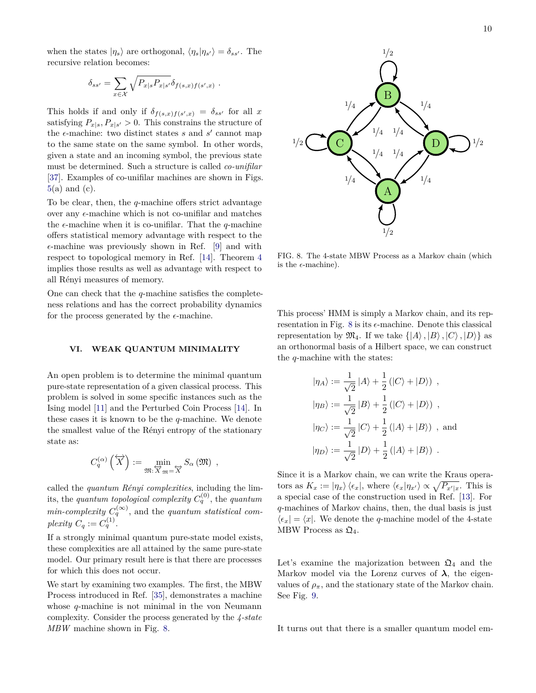when the states  $|\eta_s\rangle$  are orthogonal,  $\langle \eta_s | \eta_{s'} \rangle = \delta_{ss'}$ . The recursive relation becomes:

$$
\delta_{ss'} = \sum_{x \in \mathcal{X}} \sqrt{P_{x|s} P_{x|s'}} \delta_{f(s,x)f(s',x)}.
$$

This holds if and only if  $\delta_{f(s,x)f(s',x)} = \delta_{ss'}$  for all *x* satisfying  $P_{x|s}, P_{x|s'} > 0$ . This constrains the structure of the  $\epsilon$ -machine: two distinct states  $s$  and  $s'$  cannot map to the same state on the same symbol. In other words, given a state and an incoming symbol, the previous state must be determined. Such a structure is called *co-unifilar* [\[37\]](#page-13-27). Examples of co-unifilar machines are shown in Figs.  $5(a)$  $5(a)$  and  $(c)$ .

To be clear, then, the *q*-machine offers strict advantage over any  $\epsilon$ -machine which is not co-unifilar and matches the  $\epsilon$ -machine when it is co-unifilar. That the *q*-machine offers statistical memory advantage with respect to the  $\epsilon$ -machine was previously shown in Ref. [\[9\]](#page-13-2) and with respect to topological memory in Ref. [\[14\]](#page-13-6). Theorem [4](#page-8-1) implies those results as well as advantage with respect to all Rényi measures of memory.

One can check that the *q*-machine satisfies the completeness relations and has the correct probability dynamics for the process generated by the  $\epsilon$ -machine.

#### <span id="page-9-0"></span>**VI. WEAK QUANTUM MINIMALITY**

An open problem is to determine the minimal quantum pure-state representation of a given classical process. This problem is solved in some specific instances such as the Ising model [\[11\]](#page-13-5) and the Perturbed Coin Process [\[14\]](#page-13-6). In these cases it is known to be the *q*-machine. We denote the smallest value of the Rényi entropy of the stationary state as:

$$
C_q^{(\alpha)}\left(\overleftrightarrow{X}\right) := \min_{\mathfrak{M}: \overleftrightarrow{X}_{\mathfrak{M}} = \overleftrightarrow{X}} S_\alpha\left(\mathfrak{M}\right) ,
$$

called the *quantum Rényi complexities*, including the limits, the *quantum topological complexity*  $C_q^{(0)}$ , the *quantum*  $min\text{-}complexity\ C_q^{(\infty)}$ , and the *quantum statistical complexity*  $C_q := C_q^{(1)}$ .

If a strongly minimal quantum pure-state model exists, these complexities are all attained by the same pure-state model. Our primary result here is that there are processes for which this does not occur.

We start by examining two examples. The first, the MBW Process introduced in Ref. [\[35\]](#page-13-25), demonstrates a machine whose *q*-machine is not minimal in the von Neumann complexity. Consider the process generated by the *4-state MBW* machine shown in Fig. [8.](#page-9-1)



<span id="page-9-1"></span>FIG. 8. The 4-state MBW Process as a Markov chain (which is the  $\epsilon$ -machine).

This process' HMM is simply a Markov chain, and its rep-resentation in Fig. [8](#page-9-1) is its  $\epsilon$ -machine. Denote this classical representation by  $\mathfrak{M}_4$ . If we take  $\{\ket{A}, \ket{B}, \ket{C}, \ket{D}\}$  as an orthonormal basis of a Hilbert space, we can construct the *q*-machine with the states:

$$
|\eta_A\rangle := \frac{1}{\sqrt{2}} |A\rangle + \frac{1}{2} (|C\rangle + |D\rangle) ,
$$
  
\n
$$
|\eta_B\rangle := \frac{1}{\sqrt{2}} |B\rangle + \frac{1}{2} (|C\rangle + |D\rangle) ,
$$
  
\n
$$
|\eta_C\rangle := \frac{1}{\sqrt{2}} |C\rangle + \frac{1}{2} (|A\rangle + |B\rangle) ,
$$
 and  
\n
$$
|\eta_D\rangle := \frac{1}{\sqrt{2}} |D\rangle + \frac{1}{2} (|A\rangle + |B\rangle) .
$$

Since it is a Markov chain, we can write the Kraus operators as  $K_x := |\eta_x\rangle \langle \epsilon_x|$ , where  $\langle \epsilon_x | \eta_{x'} \rangle \propto \sqrt{P_{x'|x}}$ . This is a special case of the construction used in Ref. [\[13\]](#page-13-4). For *q*-machines of Markov chains, then, the dual basis is just  $\langle \epsilon_x | = \langle x |$ . We denote the *q*-machine model of the 4-state MBW Process as  $\mathfrak{Q}_4$ .

Let's examine the majorization between  $\mathfrak{Q}_4$  and the Markov model via the Lorenz curves of  $\lambda$ , the eigenvalues of  $\rho_{\pi}$ , and the stationary state of the Markov chain. See Fig. [9.](#page-10-0)

It turns out that there is a smaller quantum model em-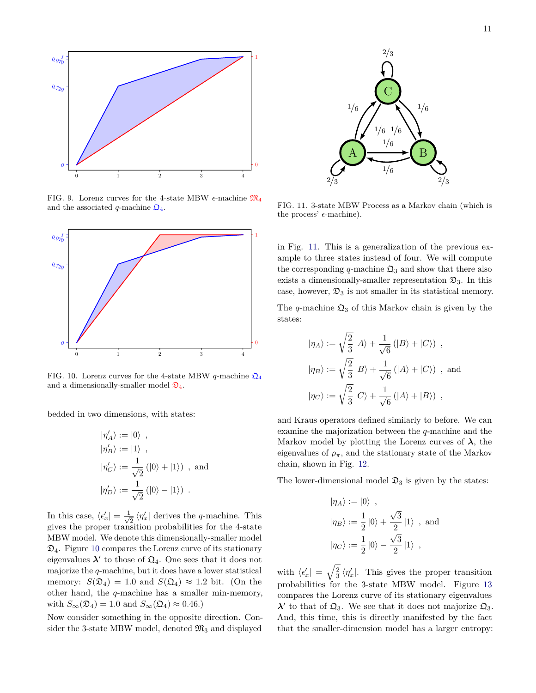

<span id="page-10-0"></span>FIG. 9. Lorenz curves for the 4-state MBW  $\epsilon$ -machine  $\mathfrak{M}_4$ and the associated *q*-machine  $\mathfrak{Q}_4$ .



<span id="page-10-1"></span>FIG. 10. Lorenz curves for the 4-state MBW *q*-machine  $\mathcal{Q}_4$ and a dimensionally-smaller model  $\mathfrak{D}_4$ .

bedded in two dimensions, with states:

$$
\begin{aligned}\n|\eta'_A\rangle &:= |0\rangle \, \ ,\\ |\eta'_B\rangle &:= |1\rangle \, \ ,\\ |\eta'_C\rangle &:= \frac{1}{\sqrt{2}}\left(|0\rangle + |1\rangle\right) \, \ , \ \text{and}\\ |\eta'_D\rangle &:= \frac{1}{\sqrt{2}}\left(|0\rangle - |1\rangle\right) \, \ .\end{aligned}
$$

In this case,  $\langle \epsilon'_x | = \frac{1}{\sqrt{2}} \rangle$  $\frac{1}{2}$   $\langle \eta'_x |$  derives the *q*-machine. This gives the proper transition probabilities for the 4-state MBW model. We denote this dimensionally-smaller model  $\mathfrak{D}_4$ . Figure [10](#page-10-1) compares the Lorenz curve of its stationary eigenvalues  $\lambda'$  to those of  $\mathfrak{Q}_4$ . One sees that it does not majorize the *q*-machine, but it does have a lower statistical memory:  $S(\mathfrak{D}_4) = 1.0$  and  $S(\mathfrak{Q}_4) \approx 1.2$  bit. (On the other hand, the *q*-machine has a smaller min-memory, with  $S_{\infty}(\mathfrak{D}_4) = 1.0$  and  $S_{\infty}(\mathfrak{Q}_4) \approx 0.46$ .)

Now consider something in the opposite direction. Consider the 3-state MBW model, denoted  $\mathfrak{M}_3$  and displayed



<span id="page-10-2"></span>FIG. 11. 3-state MBW Process as a Markov chain (which is the process'  $\epsilon$ -machine).

in Fig. [11.](#page-10-2) This is a generalization of the previous example to three states instead of four. We will compute the corresponding  $q$ -machine  $\mathfrak{Q}_3$  and show that there also exists a dimensionally-smaller representation  $\mathfrak{D}_3$ . In this case, however,  $\mathfrak{D}_3$  is not smaller in its statistical memory.

The *q*-machine  $\mathfrak{Q}_3$  of this Markov chain is given by the states:

$$
\begin{aligned} &|\eta_A\rangle:=\sqrt{\frac{2}{3}}\,|A\rangle+\frac{1}{\sqrt{6}}\left(|B\rangle+|C\rangle\right)\;,\\ &|\eta_B\rangle:=\sqrt{\frac{2}{3}}\,|B\rangle+\frac{1}{\sqrt{6}}\left(|A\rangle+|C\rangle\right)\;, \text{ and}\\ &|\eta_C\rangle:=\sqrt{\frac{2}{3}}\,|C\rangle+\frac{1}{\sqrt{6}}\left(|A\rangle+|B\rangle\right)\;, \end{aligned}
$$

and Kraus operators defined similarly to before. We can examine the majorization between the *q*-machine and the Markov model by plotting the Lorenz curves of  $\lambda$ , the eigenvalues of  $\rho_{\pi}$ , and the stationary state of the Markov chain, shown in Fig. [12.](#page-11-0)

The lower-dimensional model  $\mathfrak{D}_3$  is given by the states:

$$
\begin{aligned}\n|\eta_A\rangle &:= |0\rangle \, \ , \\
|\eta_B\rangle &:= \frac{1}{2} |0\rangle + \frac{\sqrt{3}}{2} |1\rangle \, \ , \text{ and} \\
|\eta_C\rangle &:= \frac{1}{2} |0\rangle - \frac{\sqrt{3}}{2} |1\rangle \, \ ,\n\end{aligned}
$$

with  $\langle \epsilon'_x | = \sqrt{\frac{2}{3}} \langle \eta'_x |$ . This gives the proper transition probabilities for the 3-state MBW model. Figure [13](#page-11-1) compares the Lorenz curve of its stationary eigenvalues  $\lambda'$  to that of  $\mathfrak{Q}_3$ . We see that it does not majorize  $\mathfrak{Q}_3$ . And, this time, this is directly manifested by the fact that the smaller-dimension model has a larger entropy: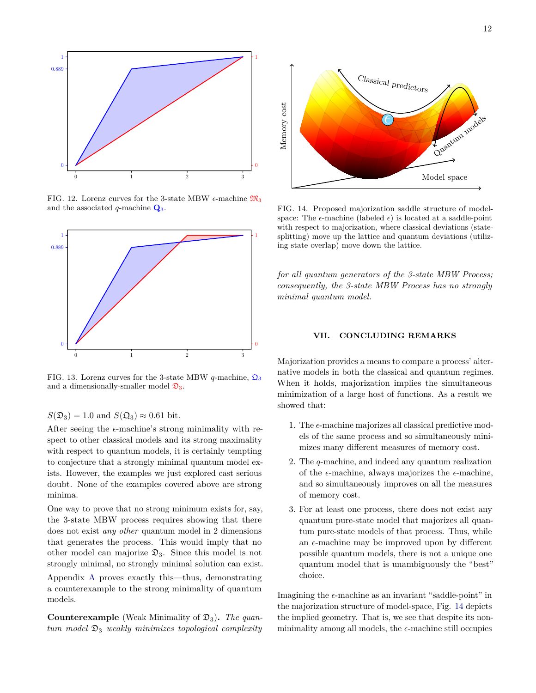

<span id="page-11-0"></span>FIG. 12. Lorenz curves for the 3-state MBW  $\epsilon$ -machine  $\mathfrak{M}_3$ and the associated *q*-machine **Q**3.



<span id="page-11-1"></span>FIG. 13. Lorenz curves for the 3-state MBW *q*-machine,  $\mathbf{\Omega}_3$ and a dimensionally-smaller model  $\mathfrak{D}_3$ .

 $S(\mathfrak{D}_3) = 1.0$  and  $S(\mathfrak{Q}_3) \approx 0.61$  bit.

After seeing the  $\epsilon$ -machine's strong minimality with respect to other classical models and its strong maximality with respect to quantum models, it is certainly tempting to conjecture that a strongly minimal quantum model exists. However, the examples we just explored cast serious doubt. None of the examples covered above are strong minima.

One way to prove that no strong minimum exists for, say, the 3-state MBW process requires showing that there does not exist *any other* quantum model in 2 dimensions that generates the process. This would imply that no other model can majorize  $\mathfrak{D}_3$ . Since this model is not strongly minimal, no strongly minimal solution can exist. Appendix [A](#page-15-0) proves exactly this—thus, demonstrating a counterexample to the strong minimality of quantum models.

**Counterexample** (Weak Minimality of  $\mathfrak{D}_3$ ). *The quantum model* D<sup>3</sup> *weakly minimizes topological complexity*



<span id="page-11-2"></span>FIG. 14. Proposed majorization saddle structure of modelspace: The  $\epsilon$ -machine (labeled  $\epsilon$ ) is located at a saddle-point with respect to majorization, where classical deviations (statesplitting) move up the lattice and quantum deviations (utilizing state overlap) move down the lattice.

*for all quantum generators of the 3-state MBW Process; consequently, the 3-state MBW Process has no strongly minimal quantum model.*

#### **VII. CONCLUDING REMARKS**

Majorization provides a means to compare a process' alternative models in both the classical and quantum regimes. When it holds, majorization implies the simultaneous minimization of a large host of functions. As a result we showed that:

- 1. The  $\epsilon$ -machine majorizes all classical predictive models of the same process and so simultaneously minimizes many different measures of memory cost.
- 2. The *q*-machine, and indeed any quantum realization of the  $\epsilon$ -machine, always majorizes the  $\epsilon$ -machine, and so simultaneously improves on all the measures of memory cost.
- 3. For at least one process, there does not exist any quantum pure-state model that majorizes all quantum pure-state models of that process. Thus, while an  $\epsilon$ -machine may be improved upon by different possible quantum models, there is not a unique one quantum model that is unambiguously the "best" choice.

Imagining the  $\epsilon$ -machine as an invariant "saddle-point" in the majorization structure of model-space, Fig. [14](#page-11-2) depicts the implied geometry. That is, we see that despite its nonminimality among all models, the  $\epsilon$ -machine still occupies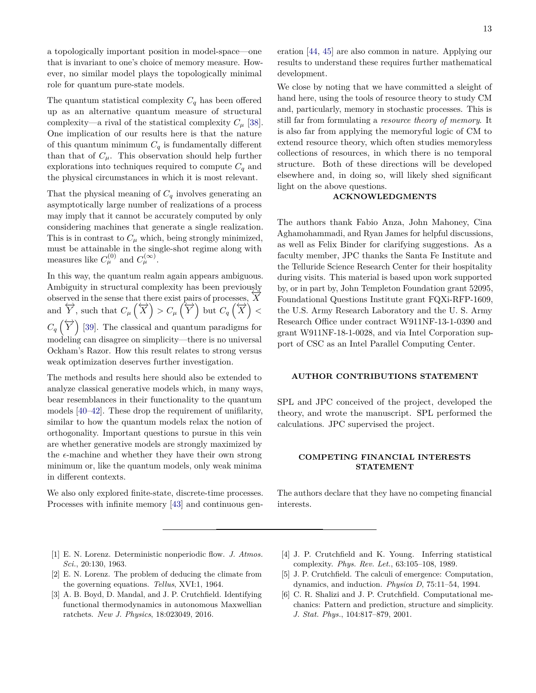a topologically important position in model-space—one that is invariant to one's choice of memory measure. However, no similar model plays the topologically minimal role for quantum pure-state models.

The quantum statistical complexity  $C_q$  has been offered up as an alternative quantum measure of structural complexity—a rival of the statistical complexity  $C_\mu$  [\[38\]](#page-13-28). One implication of our results here is that the nature of this quantum minimum  $C_q$  is fundamentally different than that of  $C_{\mu}$ . This observation should help further explorations into techniques required to compute  $C_q$  and the physical circumstances in which it is most relevant.

That the physical meaning of  $C_q$  involves generating an asymptotically large number of realizations of a process may imply that it cannot be accurately computed by only considering machines that generate a single realization. This is in contrast to  $C_\mu$  which, being strongly minimized, must be attainable in the single-shot regime along with measures like  $C^{(0)}_{\mu}$  and  $C^{(\infty)}_{\mu}$ .

In this way, the quantum realm again appears ambiguous. Ambiguity in structural complexity has been previously observed in the sense that there exist pairs of processes,  $\overline{X}$ and  $\overleftrightarrow{Y}$ , such that  $C_{\mu}(\overleftrightarrow{X}) > C_{\mu}(\overleftrightarrow{Y})$  but  $C_q(\overleftrightarrow{X}) <$  $C_q \left(\overleftrightarrow{Y}\right)$  [\[39\]](#page-13-29). The classical and quantum paradigms for modeling can disagree on simplicity—there is no universal Ockham's Razor. How this result relates to strong versus weak optimization deserves further investigation.

The methods and results here should also be extended to analyze classical generative models which, in many ways, bear resemblances in their functionality to the quantum models [\[40](#page-13-30)[–42\]](#page-13-31). These drop the requirement of unifilarity, similar to how the quantum models relax the notion of orthogonality. Important questions to pursue in this vein are whether generative models are strongly maximized by the  $\epsilon$ -machine and whether they have their own strong minimum or, like the quantum models, only weak minima in different contexts.

We also only explored finite-state, discrete-time processes. Processes with infinite memory [\[43\]](#page-14-0) and continuous genWe close by noting that we have committed a sleight of hand here, using the tools of resource theory to study CM and, particularly, memory in stochastic processes. This is still far from formulating a *resource theory of memory*. It is also far from applying the memoryful logic of CM to extend resource theory, which often studies memoryless collections of resources, in which there is no temporal structure. Both of these directions will be developed elsewhere and, in doing so, will likely shed significant light on the above questions.

## **ACKNOWLEDGMENTS**

The authors thank Fabio Anza, John Mahoney, Cina Aghamohammadi, and Ryan James for helpful discussions, as well as Felix Binder for clarifying suggestions. As a faculty member, JPC thanks the Santa Fe Institute and the Telluride Science Research Center for their hospitality during visits. This material is based upon work supported by, or in part by, John Templeton Foundation grant 52095, Foundational Questions Institute grant FQXi-RFP-1609, the U.S. Army Research Laboratory and the U. S. Army Research Office under contract W911NF-13-1-0390 and grant W911NF-18-1-0028, and via Intel Corporation support of CSC as an Intel Parallel Computing Center.

#### **AUTHOR CONTRIBUTIONS STATEMENT**

SPL and JPC conceived of the project, developed the theory, and wrote the manuscript. SPL performed the calculations. JPC supervised the project.

### **COMPETING FINANCIAL INTERESTS STATEMENT**

The authors declare that they have no competing financial interests.

- <span id="page-12-0"></span>[1] E. N. Lorenz. Deterministic nonperiodic flow. *J. Atmos. Sci.*, 20:130, 1963.
- <span id="page-12-1"></span>[2] E. N. Lorenz. The problem of deducing the climate from the governing equations. *Tellus*, XVI:1, 1964.
- <span id="page-12-2"></span>[3] A. B. Boyd, D. Mandal, and J. P. Crutchfield. Identifying functional thermodynamics in autonomous Maxwellian ratchets. *New J. Physics*, 18:023049, 2016.
- <span id="page-12-3"></span>[4] J. P. Crutchfield and K. Young. Inferring statistical complexity. *Phys. Rev. Let.*, 63:105–108, 1989.
- [5] J. P. Crutchfield. The calculi of emergence: Computation, dynamics, and induction. *Physica D*, 75:11–54, 1994.
- <span id="page-12-4"></span>[6] C. R. Shalizi and J. P. Crutchfield. Computational mechanics: Pattern and prediction, structure and simplicity. *J. Stat. Phys.*, 104:817–879, 2001.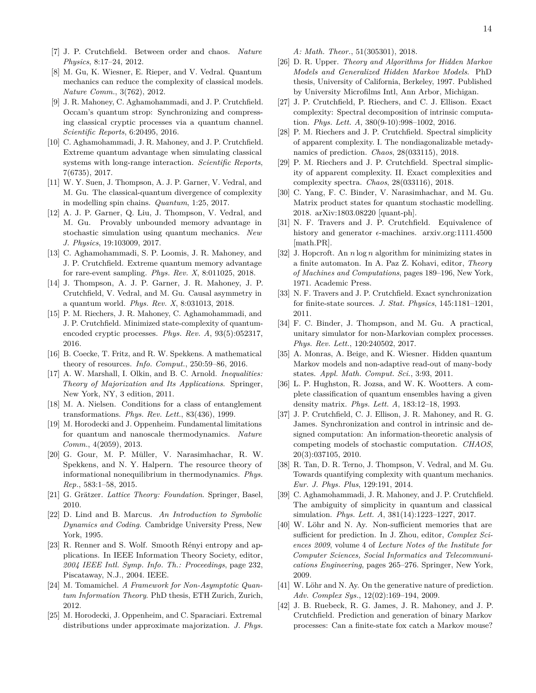*A: Math. Theor.*, 51(305301), 2018.

- <span id="page-13-17"></span>[26] D. R. Upper. *Theory and Algorithms for Hidden Markov Models and Generalized Hidden Markov Models*. PhD thesis, University of California, Berkeley, 1997. Published by University Microfilms Intl, Ann Arbor, Michigan.
- <span id="page-13-18"></span>[27] J. P. Crutchfield, P. Riechers, and C. J. Ellison. Exact complexity: Spectral decomposition of intrinsic computation. *Phys. Lett. A*, 380(9-10):998–1002, 2016.
- [28] P. M. Riechers and J. P. Crutchfield. Spectral simplicity of apparent complexity. I. The nondiagonalizable metadynamics of prediction. *Chaos*, 28(033115), 2018.
- <span id="page-13-19"></span>[29] P. M. Riechers and J. P. Crutchfield. Spectral simplicity of apparent complexity. II. Exact complexities and complexity spectra. *Chaos*, 28(033116), 2018.
- <span id="page-13-20"></span>[30] C. Yang, F. C. Binder, V. Narasimhachar, and M. Gu. Matrix product states for quantum stochastic modelling. 2018. arXiv:1803.08220 [quant-ph].
- <span id="page-13-21"></span>[31] N. F. Travers and J. P. Crutchfield. Equivalence of history and generator  $\epsilon$ -machines. arxiv.org:1111.4500 [math.PR].
- <span id="page-13-22"></span>[32] J. Hopcroft. An *n* log *n* algorithm for minimizing states in a finite automaton. In A. Paz Z. Kohavi, editor, *Theory of Machines and Computations*, pages 189–196, New York, 1971. Academic Press.
- <span id="page-13-23"></span>[33] N. F. Travers and J. P. Crutchfield. Exact synchronization for finite-state sources. *J. Stat. Physics*, 145:1181–1201, 2011.
- <span id="page-13-24"></span>[34] F. C. Binder, J. Thompson, and M. Gu. A practical, unitary simulator for non-Markovian complex processes. *Phys. Rev. Lett.*, 120:240502, 2017.
- <span id="page-13-25"></span>[35] A. Monras, A. Beige, and K. Wiesner. Hidden quantum Markov models and non-adaptive read-out of many-body states. *Appl. Math. Comput. Sci.*, 3:93, 2011.
- <span id="page-13-26"></span>[36] L. P. Hughston, R. Jozsa, and W. K. Wootters. A complete classification of quantum ensembles having a given density matrix. *Phys. Lett. A*, 183:12–18, 1993.
- <span id="page-13-27"></span>[37] J. P. Crutchfield, C. J. Ellison, J. R. Mahoney, and R. G. James. Synchronization and control in intrinsic and designed computation: An information-theoretic analysis of competing models of stochastic computation. *CHAOS*, 20(3):037105, 2010.
- <span id="page-13-28"></span>[38] R. Tan, D. R. Terno, J. Thompson, V. Vedral, and M. Gu. Towards quantifying complexity with quantum mechanics. *Eur. J. Phys. Plus*, 129:191, 2014.
- <span id="page-13-29"></span>[39] C. Aghamohammadi, J. R. Mahoney, and J. P. Crutchfield. The ambiguity of simplicity in quantum and classical simulation. *Phys. Lett. A*, 381(14):1223–1227, 2017.
- <span id="page-13-30"></span>[40] W. Löhr and N. Ay. Non-sufficient memories that are sufficient for prediction. In J. Zhou, editor, *Complex Sciences 2009*, volume 4 of *Lecture Notes of the Institute for Computer Sciences, Social Informatics and Telecommunications Engineering*, pages 265–276. Springer, New York, 2009.
- [41] W. Löhr and N. Ay. On the generative nature of prediction. *Adv. Complex Sys.*, 12(02):169–194, 2009.
- <span id="page-13-31"></span>[42] J. B. Ruebeck, R. G. James, J. R. Mahoney, and J. P. Crutchfield. Prediction and generation of binary Markov processes: Can a finite-state fox catch a Markov mouse?
- <span id="page-13-0"></span>[7] J. P. Crutchfield. Between order and chaos. *Nature Physics*, 8:17–24, 2012.
- <span id="page-13-1"></span>[8] M. Gu, K. Wiesner, E. Rieper, and V. Vedral. Quantum mechanics can reduce the complexity of classical models. *Nature Comm.*, 3(762), 2012.
- <span id="page-13-2"></span>[9] J. R. Mahoney, C. Aghamohammadi, and J. P. Crutchfield. Occam's quantum strop: Synchronizing and compressing classical cryptic processes via a quantum channel. *Scientific Reports*, 6:20495, 2016.
- <span id="page-13-3"></span>[10] C. Aghamohammadi, J. R. Mahoney, and J. P. Crutchfield. Extreme quantum advantage when simulating classical systems with long-range interaction. *Scientific Reports*, 7(6735), 2017.
- <span id="page-13-5"></span>[11] W. Y. Suen, J. Thompson, A. J. P. Garner, V. Vedral, and M. Gu. The classical-quantum divergence of complexity in modelling spin chains. *Quantum*, 1:25, 2017.
- [12] A. J. P. Garner, Q. Liu, J. Thompson, V. Vedral, and M. Gu. Provably unbounded memory advantage in stochastic simulation using quantum mechanics. *New J. Physics*, 19:103009, 2017.
- <span id="page-13-4"></span>[13] C. Aghamohammadi, S. P. Loomis, J. R. Mahoney, and J. P. Crutchfield. Extreme quantum memory advantage for rare-event sampling. *Phys. Rev. X*, 8:011025, 2018.
- <span id="page-13-6"></span>[14] J. Thompson, A. J. P. Garner, J. R. Mahoney, J. P. Crutchfield, V. Vedral, and M. Gu. Causal asymmetry in a quantum world. *Phys. Rev. X*, 8:031013, 2018.
- <span id="page-13-7"></span>[15] P. M. Riechers, J. R. Mahoney, C. Aghamohammadi, and J. P. Crutchfield. Minimized state-complexity of quantumencoded cryptic processes. *Phys. Rev. A*, 93(5):052317, 2016.
- <span id="page-13-8"></span>[16] B. Coecke, T. Fritz, and R. W. Spekkens. A mathematical theory of resources. *Info. Comput.*, 250:59–86, 2016.
- <span id="page-13-9"></span>[17] A. W. Marshall, I. Olkin, and B. C. Arnold. *Inequalities: Theory of Majorization and Its Applications*. Springer, New York, NY, 3 edition, 2011.
- <span id="page-13-10"></span>[18] M. A. Nielsen. Conditions for a class of entanglement transformations. *Phys. Rev. Lett.*, 83(436), 1999.
- [19] M. Horodecki and J. Oppenheim. Fundamental limitations for quantum and nanoscale thermodynamics. *Nature Comm.*, 4(2059), 2013.
- <span id="page-13-11"></span>[20] G. Gour, M. P. Müller, V. Narasimhachar, R. W. Spekkens, and N. Y. Halpern. The resource theory of informational nonequilibrium in thermodynamics. *Phys. Rep.*, 583:1–58, 2015.
- <span id="page-13-12"></span>[21] G. Grätzer. *Lattice Theory: Foundation*. Springer, Basel, 2010.
- <span id="page-13-13"></span>[22] D. Lind and B. Marcus. *An Introduction to Symbolic Dynamics and Coding*. Cambridge University Press, New York, 1995.
- <span id="page-13-14"></span>[23] R. Renner and S. Wolf. Smooth Rényi entropy and applications. In IEEE Information Theory Society, editor, *2004 IEEE Intl. Symp. Info. Th.: Proceedings*, page 232, Piscataway, N.J., 2004. IEEE.
- <span id="page-13-15"></span>[24] M. Tomamichel. *A Framework for Non-Asymptotic Quantum Information Theory*. PhD thesis, ETH Zurich, Zurich, 2012.
- <span id="page-13-16"></span>[25] M. Horodecki, J. Oppenheim, and C. Sparaciari. Extremal distributions under approximate majorization. *J. Phys.*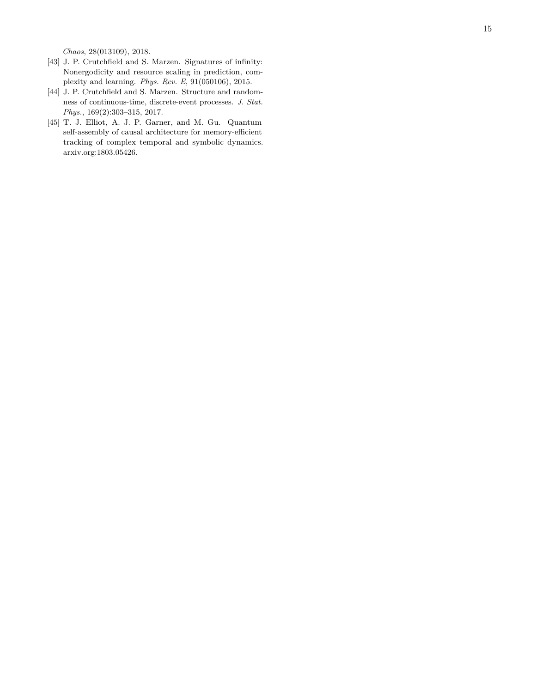*Chaos*, 28(013109), 2018.

- <span id="page-14-0"></span>[43] J. P. Crutchfield and S. Marzen. Signatures of infinity: Nonergodicity and resource scaling in prediction, complexity and learning. *Phys. Rev. E*, 91(050106), 2015.
- <span id="page-14-1"></span>[44] J. P. Crutchfield and S. Marzen. Structure and randomness of continuous-time, discrete-event processes. *J. Stat. Phys.*, 169(2):303–315, 2017.
- <span id="page-14-2"></span>[45] T. J. Elliot, A. J. P. Garner, and M. Gu. Quantum self-assembly of causal architecture for memory-efficient tracking of complex temporal and symbolic dynamics. arxiv.org:1803.05426.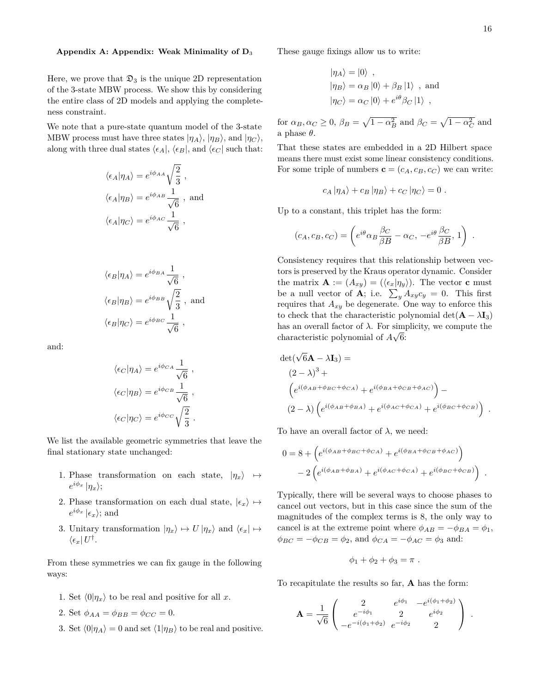#### <span id="page-15-0"></span>**Appendix A: Appendix: Weak Minimality of D**<sup>3</sup>

Here, we prove that  $\mathfrak{D}_3$  is the unique 2D representation of the 3-state MBW process. We show this by considering the entire class of 2D models and applying the completeness constraint.

We note that a pure-state quantum model of the 3-state MBW process must have three states  $|\eta_A\rangle$ ,  $|\eta_B\rangle$ , and  $|\eta_C\rangle$ , along with three dual states  $\langle \epsilon_A | , \langle \epsilon_B |$ , and  $\langle \epsilon_C |$  such that:

$$
\langle \epsilon_A | \eta_A \rangle = e^{i\phi_{AA}} \sqrt{\frac{2}{3}},
$$
  

$$
\langle \epsilon_A | \eta_B \rangle = e^{i\phi_{AB}} \frac{1}{\sqrt{6}},
$$
 and  

$$
\langle \epsilon_A | \eta_C \rangle = e^{i\phi_{AC}} \frac{1}{\sqrt{6}},
$$

$$
\langle \epsilon_B | \eta_A \rangle = e^{i\phi_{BA}} \frac{1}{\sqrt{6}},
$$
  

$$
\langle \epsilon_B | \eta_B \rangle = e^{i\phi_{BB}} \sqrt{\frac{2}{3}}, \text{ and}
$$
  

$$
\langle \epsilon_B | \eta_C \rangle = e^{i\phi_{BC}} \frac{1}{\sqrt{6}},
$$

and:

$$
\langle \epsilon_C | \eta_A \rangle = e^{i\phi_{CA}} \frac{1}{\sqrt{6}},
$$
  

$$
\langle \epsilon_C | \eta_B \rangle = e^{i\phi_{CB}} \frac{1}{\sqrt{6}},
$$
  

$$
\langle \epsilon_C | \eta_C \rangle = e^{i\phi_{CC}} \sqrt{\frac{2}{3}}.
$$

We list the available geometric symmetries that leave the final stationary state unchanged:

- 1. Phase transformation on each state,  $|\eta_x\rangle \mapsto$  $e^{i\phi_x}$  | $\eta_x$ };
- 2. Phase transformation on each dual state,  $|\epsilon_x\rangle \mapsto$  $e^{i\phi_x}$   $|\epsilon_x\rangle$ ; and
- 3. Unitary transformation  $|\eta_x\rangle \mapsto U |\eta_x\rangle$  and  $\langle \epsilon_x | \mapsto$  $\bra{\epsilon_x}U^{\dagger}$ .

From these symmetries we can fix gauge in the following ways:

- 1. Set  $\langle 0|\eta_x\rangle$  to be real and positive for all *x*.
- 2. Set  $\phi_{AA} = \phi_{BB} = \phi_{CC} = 0$ .
- 3. Set  $\langle 0|\eta_A\rangle = 0$  and set  $\langle 1|\eta_B\rangle$  to be real and positive.

These gauge fixings allow us to write:

$$
\begin{aligned}\n|\eta_A\rangle &= |0\rangle ,\\
|\eta_B\rangle &= \alpha_B |0\rangle + \beta_B |1\rangle , \text{ and}\\
|\eta_C\rangle &= \alpha_C |0\rangle + e^{i\theta} \beta_C |1\rangle ,\n\end{aligned}
$$

for  $\alpha_B, \alpha_C \ge 0$ ,  $\beta_B = \sqrt{1 - \alpha_B^2}$  and  $\beta_C = \sqrt{1 - \alpha_C^2}$  and a phase *θ*.

That these states are embedded in a 2D Hilbert space means there must exist some linear consistency conditions. For some triple of numbers  $\mathbf{c} = (c_A, c_B, c_C)$  we can write:

$$
c_A |\eta_A\rangle + c_B |\eta_B\rangle + c_C |\eta_C\rangle = 0.
$$

Up to a constant, this triplet has the form:

$$
(c_A, c_B, c_C) = \left( e^{i\theta} \alpha_B \frac{\beta_C}{\beta B} - \alpha_C, -e^{i\theta} \frac{\beta_C}{\beta B}, 1 \right) .
$$

Consistency requires that this relationship between vectors is preserved by the Kraus operator dynamic. Consider the matrix  $\mathbf{A} := (A_{xy}) = (\langle \epsilon_x | \eta_y \rangle)$ . The vector **c** must be a null vector of **A**; i.e.  $\sum_{y} A_{xy}c_y = 0$ . This first requires that  $A_{xy}$  be degenerate. One way to enforce this to check that the characteristic polynomial det( $\mathbf{A} - \lambda \mathbf{I}_3$ ) has an overall factor of  $\lambda$ . For simplicity, we compute the characteristic polynomial of  $A\sqrt{6}$ :

$$
det(\sqrt{6}\mathbf{A} - \lambda \mathbf{I}_3) =
$$
  
\n
$$
(2 - \lambda)^3 +
$$
  
\n
$$
(e^{i(\phi_{AB} + \phi_{BC} + \phi_{CA})} + e^{i(\phi_{BA} + \phi_{CB} + \phi_{AC})}) -
$$
  
\n
$$
(2 - \lambda) (e^{i(\phi_{AB} + \phi_{BA})} + e^{i(\phi_{AC} + \phi_{CA})} + e^{i(\phi_{BC} + \phi_{CB})}).
$$

To have an overall factor of  $\lambda$ , we need:

$$
0 = 8 + \left(e^{i(\phi_{AB} + \phi_{BC} + \phi_{CA})} + e^{i(\phi_{BA} + \phi_{CB} + \phi_{AC})}\right) - 2\left(e^{i(\phi_{AB} + \phi_{BA})} + e^{i(\phi_{AC} + \phi_{CA})} + e^{i(\phi_{BC} + \phi_{CB})}\right).
$$

Typically, there will be several ways to choose phases to cancel out vectors, but in this case since the sum of the magnitudes of the complex terms is 8, the only way to cancel is at the extreme point where  $\phi_{AB} = -\phi_{BA} = \phi_1$ ,  $\phi_{BC} = -\phi_{CB} = \phi_2$ , and  $\phi_{CA} = -\phi_{AC} = \phi_3$  and:

$$
\phi_1 + \phi_2 + \phi_3 = \pi.
$$

To recapitulate the results so far, **A** has the form:

$$
\mathbf{A} = \frac{1}{\sqrt{6}} \begin{pmatrix} 2 & e^{i\phi_1} & -e^{i(\phi_1 + \phi_2)} \\ e^{-i\phi_1} & 2 & e^{i\phi_2} \\ -e^{-i(\phi_1 + \phi_2)} & e^{-i\phi_2} & 2 \end{pmatrix}.
$$